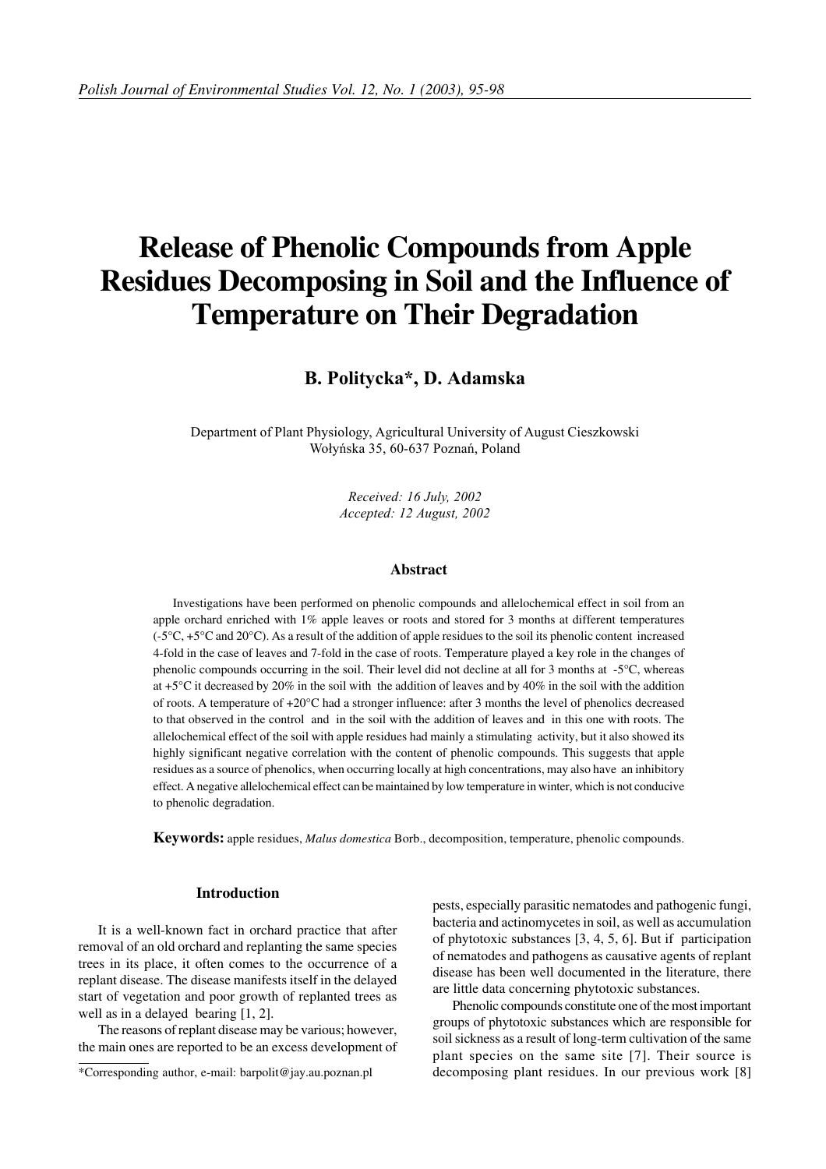# **Release of Phenolic Compounds from Apple Residues Decomposing in Soil and the Influence of Temperature on Their Degradation**

## B. Politycka\*, D. Adamska

Department of Plant Physiology, Agricultural University of August Cieszkowski Wołyńska 35, 60-637 Poznań, Poland

> Received: 16 July, 2002 Accepted: 12 August, 2002

### **Abstract**

Investigations have been performed on phenolic compounds and allelochemical effect in soil from an apple orchard enriched with 1% apple leaves or roots and stored for 3 months at different temperatures  $(-5^{\circ}\text{C}, +5^{\circ}\text{C})$  and 20<sup>o</sup>C). As a result of the addition of apple residues to the soil its phenolic content increased 4-fold in the case of leaves and 7-fold in the case of roots. Temperature played a key role in the changes of phenolic compounds occurring in the soil. Their level did not decline at all for 3 months at -5°C, whereas at +5 $^{\circ}$ C it decreased by 20% in the soil with the addition of leaves and by 40% in the soil with the addition of roots. A temperature of +20°C had a stronger influence: after 3 months the level of phenolics decreased to that observed in the control and in the soil with the addition of leaves and in this one with roots. The allelochemical effect of the soil with apple residues had mainly a stimulating activity, but it also showed its highly significant negative correlation with the content of phenolic compounds. This suggests that apple residues as a source of phenolics, when occurring locally at high concentrations, may also have an inhibitory effect. A negative allelochemical effect can be maintained by low temperature in winter, which is not conducive to phenolic degradation.

**Keywords:** apple residues, *Malus domestica* Borb., decomposition, temperature, phenolic compounds.

#### **Introduction**

It is a well-known fact in orchard practice that after removal of an old orchard and replanting the same species trees in its place, it often comes to the occurrence of a replant disease. The disease manifests itself in the delayed start of vegetation and poor growth of replanted trees as well as in a delayed bearing [1, 2].

The reasons of replant disease may be various; however, the main ones are reported to be an excess development of pests, especially parasitic nematodes and pathogenic fungi, bacteria and actinomycetes in soil, as well as accumulation of phytotoxic substances [3, 4, 5, 6]. But if participation of nematodes and pathogens as causative agents of replant disease has been well documented in the literature, there are little data concerning phytotoxic substances.

Phenolic compounds constitute one of the most important groups of phytotoxic substances which are responsible for soil sickness as a result of long-term cultivation of the same plant species on the same site [7]. Their source is decomposing plant residues. In our previous work [8]

<sup>\*</sup>Corresponding author, e-mail: barpolit@jay.au.poznan.pl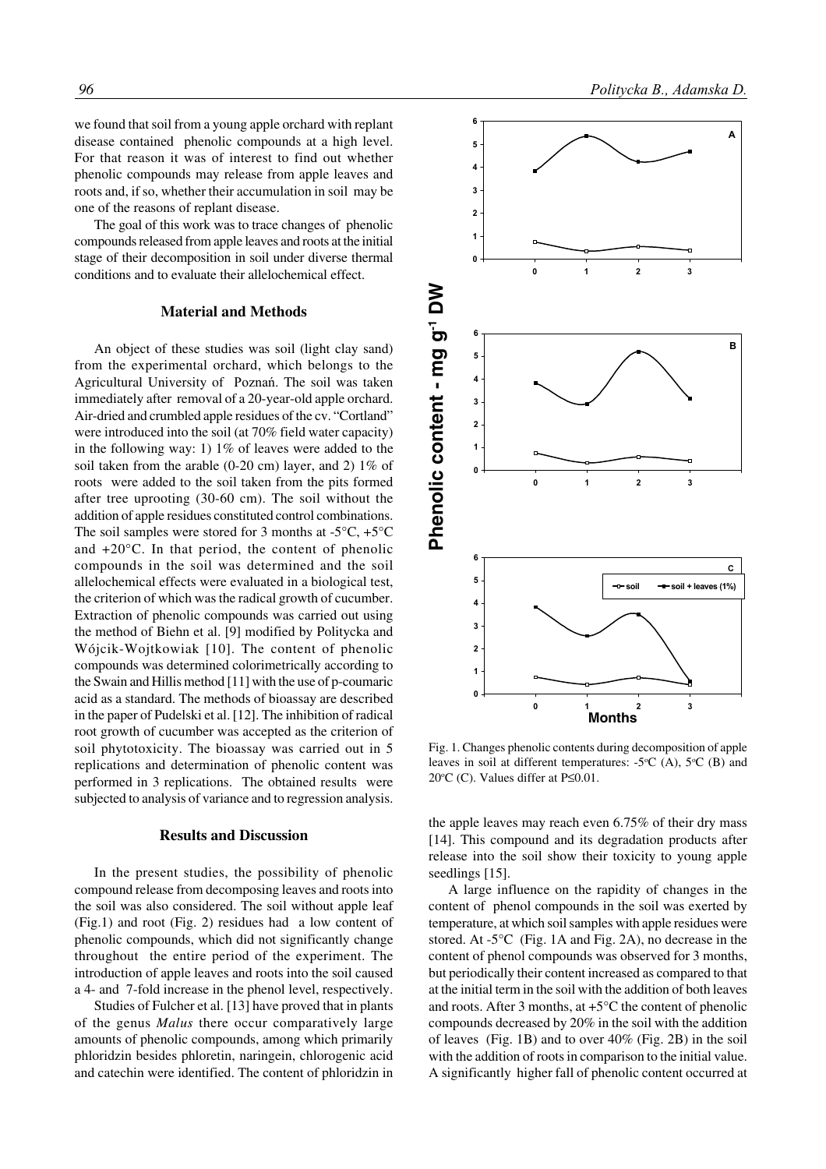we found that soil from a young apple orchard with replant disease contained phenolic compounds at a high level. For that reason it was of interest to find out whether phenolic compounds may release from apple leaves and roots and, if so, whether their accumulation in soil may be one of the reasons of replant disease.

The goal of this work was to trace changes of phenolic compounds released from apple leaves and roots at the initial stage of their decomposition in soil under diverse thermal conditions and to evaluate their allelochemical effect.

#### **Material and Methods**

An object of these studies was soil (light clay sand) from the experimental orchard, which belongs to the Agricultural University of  . The soil was taken immediately after removal of a 20-year-old apple orchard. Air-dried and crumbled apple residues of the cv. "Cortland" were introduced into the soil (at 70% field water capacity) in the following way: 1) 1% of leaves were added to the soil taken from the arable (0-20 cm) layer, and 2) 1% of roots were added to the soil taken from the pits formed after tree uprooting (30-60 cm). The soil without the addition of apple residues constituted control combinations. The soil samples were stored for 3 months at  $-5^{\circ}C$ ,  $+5^{\circ}C$ and +20°C. In that period, the content of phenolic compounds in the soil was determined and the soil allelochemical effects were evaluated in a biological test, the criterion of which was the radical growth of cucumber. Extraction of phenolic compounds was carried out using the method of Biehn et al. [9] modified by Politycka and Wójcik-Wojtkowiak [10]. The content of phenolic compounds was determined colorimetrically according to the Swain and Hillis method [11] with the use of p-coumaric acid as a standard. The methods of bioassay are described in the paper of Pudelski et al. [12]. The inhibition of radical root growth of cucumber was accepted as the criterion of soil phytotoxicity. The bioassay was carried out in 5 replications and determination of phenolic content was performed in 3 replications. The obtained results were subjected to analysis of variance and to regression analysis.

#### **Results and Discussion**

In the present studies, the possibility of phenolic compound release from decomposing leaves and roots into the soil was also considered. The soil without apple leaf (Fig.1) and root (Fig. 2) residues had a low content of phenolic compounds, which did not significantly change throughout the entire period of the experiment. The introduction of apple leaves and roots into the soil caused a 4- and 7-fold increase in the phenol level, respectively.

Studies of Fulcher et al. [13] have proved that in plants of the genus *Malus* there occur comparatively large amounts of phenolic compounds, among which primarily phloridzin besides phloretin, naringein, chlorogenic acid and catechin were identified. The content of phloridzin in



Fig. 1. Changes phenolic contents during decomposition of apple leaves in soil at different temperatures:  $-5^{\circ}C$  (A),  $5^{\circ}C$  (B) and 20 $\rm ^{\circ}C$  (C). Values differ at P $\leq$ 0.01.

the apple leaves may reach even 6.75% of their dry mass [14]. This compound and its degradation products after release into the soil show their toxicity to young apple seedlings [15].

A large influence on the rapidity of changes in the content of phenol compounds in the soil was exerted by temperature, at which soil samples with apple residues were stored. At -5°C (Fig. 1A and Fig. 2A), no decrease in the content of phenol compounds was observed for 3 months, but periodically their content increased as compared to that at the initial term in the soil with the addition of both leaves and roots. After 3 months, at +5°C the content of phenolic compounds decreased by 20% in the soil with the addition of leaves (Fig. 1B) and to over 40% (Fig. 2B) in the soil with the addition of roots in comparison to the initial value. A significantly higher fall of phenolic content occurred at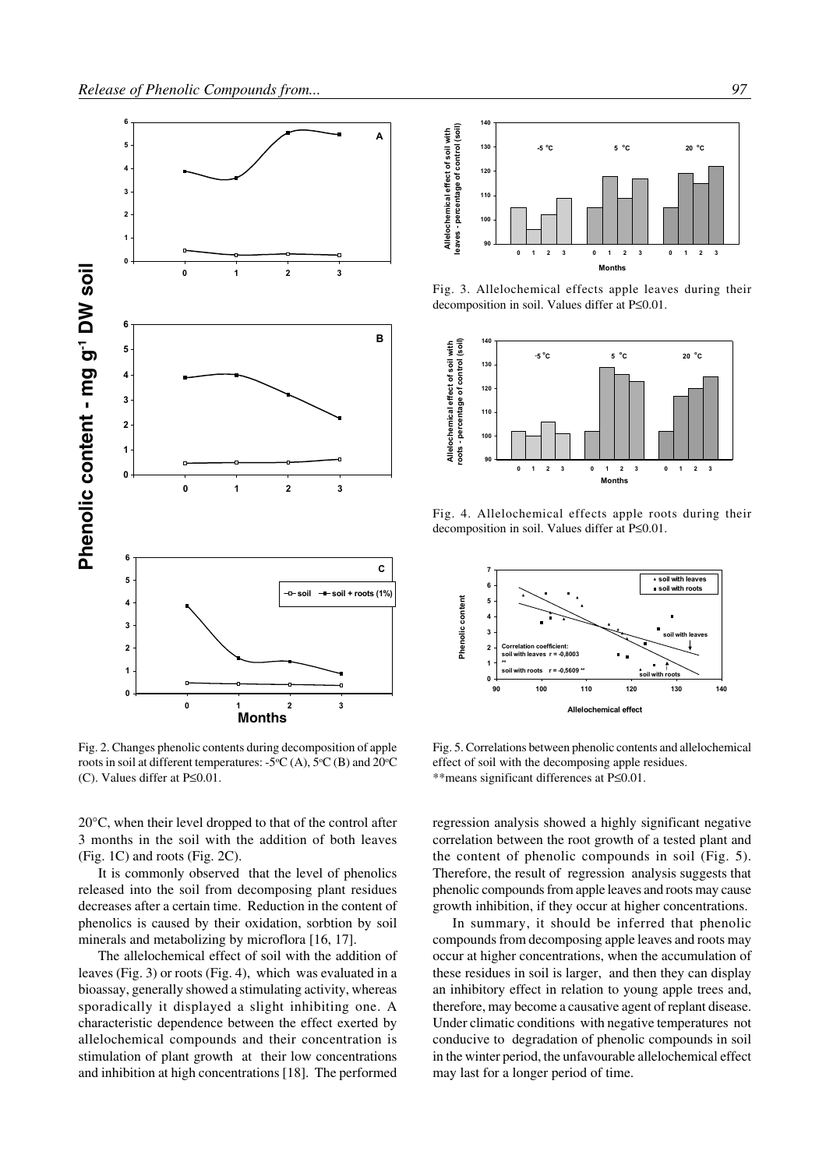

Fig. 2. Changes phenolic contents during decomposition of apple roots in soil at different temperatures:  $-5\text{°C}$  (A),  $5\text{°C}$  (B) and  $20\text{°C}$ (C). Values differ at P≤0.01.

20°C, when their level dropped to that of the control after 3 months in the soil with the addition of both leaves (Fig. 1C) and roots (Fig. 2C).

It is commonly observed that the level of phenolics released into the soil from decomposing plant residues decreases after a certain time. Reduction in the content of phenolics is caused by their oxidation, sorbtion by soil minerals and metabolizing by microflora [16, 17].

The allelochemical effect of soil with the addition of leaves (Fig. 3) or roots (Fig. 4), which was evaluated in a bioassay, generally showed a stimulating activity, whereas sporadically it displayed a slight inhibiting one. A characteristic dependence between the effect exerted by allelochemical compounds and their concentration is stimulation of plant growth at their low concentrations



Fig. 3. Allelochemical effects apple leaves during their decomposition in soil. Values differ at P≤0.01.



Fig. 4. Allelochemical effects apple roots during their decomposition in soil. Values differ at P≤0.01.



Fig. 5. Correlations between phenolic contents and allelochemical effect of soil with the decomposing apple residues. \*\*means significant differences at P≤0.01.

regression analysis showed a highly significant negative correlation between the root growth of a tested plant and the content of phenolic compounds in soil (Fig. 5). Therefore, the result of regression analysis suggests that phenolic compounds from apple leaves and roots may cause growth inhibition, if they occur at higher concentrations.

In summary, it should be inferred that phenolic compounds from decomposing apple leaves and roots may occur at higher concentrations, when the accumulation of these residues in soil is larger, and then they can display an inhibitory effect in relation to young apple trees and, therefore, may become a causative agent of replant disease. Under climatic conditions with negative temperatures not conducive to degradation of phenolic compounds in soil in the winter period, the unfavourable allelochemical effect may last for a longer period of time.